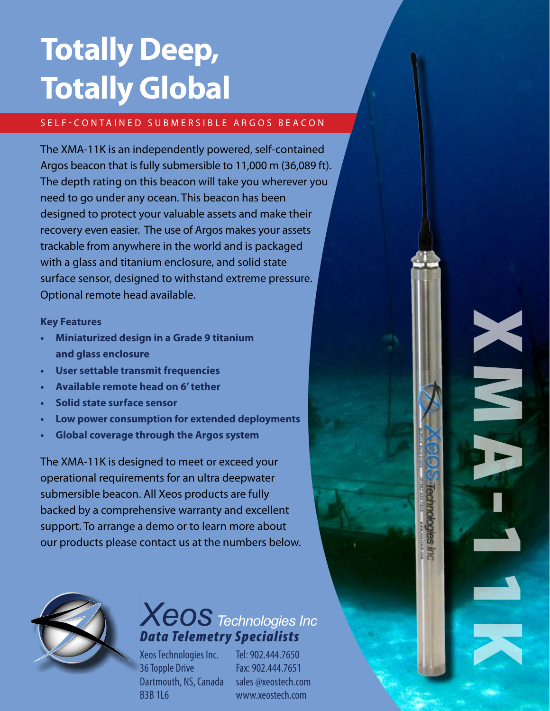# **Totally Deep, Totally Global**

### SELF-CONTAINED SUBMERSIBLE ARGOS BEACON

The XMA-11K is an independently powered, self-contained Argos beacon that is fully submersible to 11,000 m (36,089 ft). The depth rating on this beacon will take you wherever you need to go under any ocean. This beacon has been designed to protect your valuable assets and make their recovery even easier. The use of Argos makes your assets trackable from anywhere in the world and is packaged with a glass and titanium enclosure, and solid state surface sensor, designed to withstand extreme pressure. Optional remote head available.

### **Key Features**

- **• Miniaturized design in a Grade 9 titanium and glass enclosure**
- **• User settable transmit frequencies**
- **• Available remote head on 6'tether**
- **• Solid state surface sensor**
- **• Low power consumption for extended deployments**
- **• Global coverage through the Argos system**

The XMA-11K is designed to meet or exceed your operational requirements for an ultra deepwater submersible beacon. All Xeos products are fully backed by a comprehensive warranty and excellent support. To arrange a demo or to learn more about our products please contact us at the numbers below.



## *Xeos Technologies Inc Data Telemetry Specialists*

Xeos Technologies Inc. 36 Topple Drive Dartmouth, NS, Canada B3B 1L6

Tel: 902.444.7650 Fax: 902.444.7651 sales @xeostech.com www.xeostech.com

XMA-11K